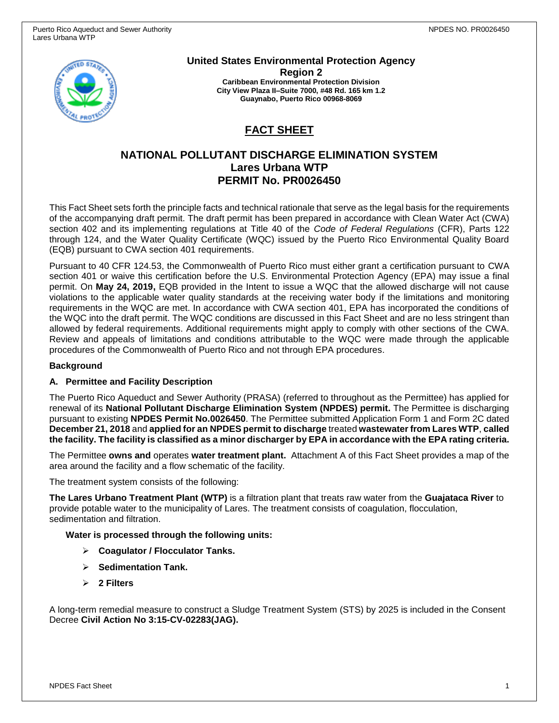

**United States Environmental Protection Agency Region 2 Caribbean Environmental Protection Division City View Plaza II–Suite 7000, #48 Rd. 165 km 1.2 Guaynabo, Puerto Rico 00968-8069**

# **FACT SHEET**

## **NATIONAL POLLUTANT DISCHARGE ELIMINATION SYSTEM Lares Urbana WTP PERMIT No. PR0026450**

This Fact Sheet sets forth the principle facts and technical rationale that serve as the legal basis for the requirements of the accompanying draft permit. The draft permit has been prepared in accordance with Clean Water Act (CWA) section 402 and its implementing regulations at Title 40 of the *Code of Federal Regulations* (CFR), Parts 122 through 124, and the Water Quality Certificate (WQC) issued by the Puerto Rico Environmental Quality Board (EQB) pursuant to CWA section 401 requirements.

Pursuant to 40 CFR 124.53, the Commonwealth of Puerto Rico must either grant a certification pursuant to CWA section 401 or waive this certification before the U.S. Environmental Protection Agency (EPA) may issue a final permit. On **May 24, 2019,** EQB provided in the Intent to issue a WQC that the allowed discharge will not cause violations to the applicable water quality standards at the receiving water body if the limitations and monitoring requirements in the WQC are met. In accordance with CWA section 401, EPA has incorporated the conditions of the WQC into the draft permit. The WQC conditions are discussed in this Fact Sheet and are no less stringent than allowed by federal requirements. Additional requirements might apply to comply with other sections of the CWA. Review and appeals of limitations and conditions attributable to the WQC were made through the applicable procedures of the Commonwealth of Puerto Rico and not through EPA procedures.

### **Background**

### **A. Permittee and Facility Description**

The Puerto Rico Aqueduct and Sewer Authority (PRASA) (referred to throughout as the Permittee) has applied for renewal of its **National Pollutant Discharge Elimination System (NPDES) permit.** The Permittee is discharging pursuant to existing **NPDES Permit No.0026450**. The Permittee submitted Application Form 1 and Form 2C dated **December 21, 2018** and **applied for an NPDES permit to discharge** treated **wastewater from Lares WTP**, **called the facility. The facility is classified as a minor discharger by EPA in accordance with the EPA rating criteria.**

The Permittee **owns and** operates **water treatment plant.** Attachment A of this Fact Sheet provides a map of the area around the facility and a flow schematic of the facility.

The treatment system consists of the following:

**The Lares Urbano Treatment Plant (WTP)** is a filtration plant that treats raw water from the **Guajataca River** to provide potable water to the municipality of Lares. The treatment consists of coagulation, flocculation, sedimentation and filtration.

### **Water is processed through the following units:**

- ➢ **Coagulator / Flocculator Tanks.**
- ➢ **Sedimentation Tank.**
- ➢ **2 Filters**

A long-term remedial measure to construct a Sludge Treatment System (STS) by 2025 is included in the Consent Decree **Civil Action No 3:15-CV-02283(JAG).**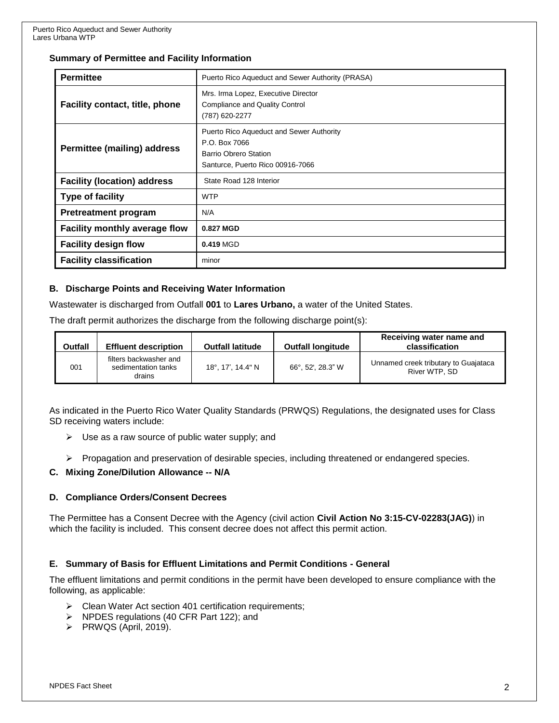### **Summary of Permittee and Facility Information**

| <b>Permittee</b>                      | Puerto Rico Aqueduct and Sewer Authority (PRASA)                                                                       |  |  |  |
|---------------------------------------|------------------------------------------------------------------------------------------------------------------------|--|--|--|
| <b>Facility contact, title, phone</b> | Mrs. Irma Lopez, Executive Director<br><b>Compliance and Quality Control</b><br>(787) 620-2277                         |  |  |  |
| <b>Permittee (mailing) address</b>    | Puerto Rico Aqueduct and Sewer Authority<br>P.O. Box 7066<br>Barrio Obrero Station<br>Santurce, Puerto Rico 00916-7066 |  |  |  |
| <b>Facility (location) address</b>    | State Road 128 Interior                                                                                                |  |  |  |
| <b>Type of facility</b>               | <b>WTP</b>                                                                                                             |  |  |  |
| <b>Pretreatment program</b>           | N/A                                                                                                                    |  |  |  |
| Facility monthly average flow         | 0.827 MGD                                                                                                              |  |  |  |
| <b>Facility design flow</b>           | 0.419 MGD                                                                                                              |  |  |  |
| <b>Facility classification</b>        | minor                                                                                                                  |  |  |  |

### **B. Discharge Points and Receiving Water Information**

Wastewater is discharged from Outfall **001** to **Lares Urbano,** a water of the United States.

The draft permit authorizes the discharge from the following discharge point(s):

| <b>Outfall</b> | <b>Effluent description</b>                             | <b>Outfall latitude</b> | <b>Outfall longitude</b> | Receiving water name and<br>classification            |
|----------------|---------------------------------------------------------|-------------------------|--------------------------|-------------------------------------------------------|
| 001            | filters backwasher and<br>sedimentation tanks<br>drains | 18°, 17', 14.4" N       | 66°, 52', 28.3" W        | Unnamed creek tributary to Guajataca<br>River WTP, SD |

As indicated in the Puerto Rico Water Quality Standards (PRWQS) Regulations, the designated uses for Class SD receiving waters include:

- $\triangleright$  Use as a raw source of public water supply; and
- ➢ Propagation and preservation of desirable species, including threatened or endangered species.

### **C. Mixing Zone/Dilution Allowance -- N/A**

### **D. Compliance Orders/Consent Decrees**

The Permittee has a Consent Decree with the Agency (civil action **Civil Action No 3:15-CV-02283(JAG)**) in which the facility is included. This consent decree does not affect this permit action.

### **E. Summary of Basis for Effluent Limitations and Permit Conditions - General**

The effluent limitations and permit conditions in the permit have been developed to ensure compliance with the following, as applicable:

- ➢ Clean Water Act section 401 certification requirements;
- ➢ NPDES regulations (40 CFR Part 122); and
- ➢ PRWQS (April, 2019).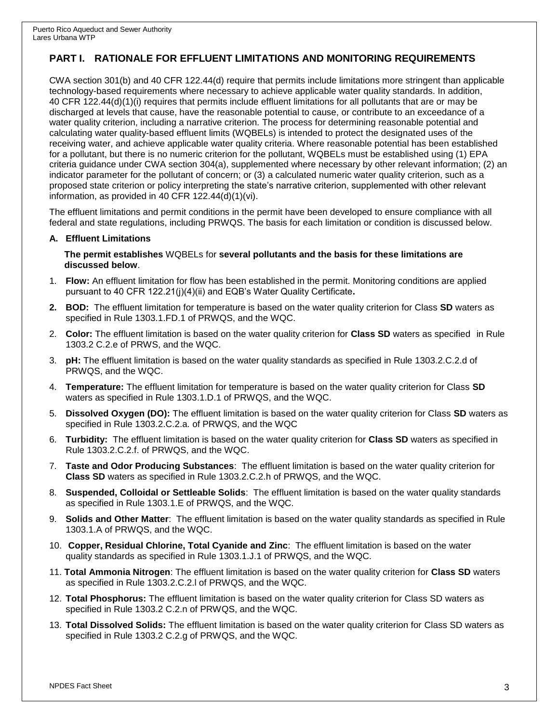## **PART I. RATIONALE FOR EFFLUENT LIMITATIONS AND MONITORING REQUIREMENTS**

CWA section 301(b) and 40 CFR 122.44(d) require that permits include limitations more stringent than applicable technology-based requirements where necessary to achieve applicable water quality standards. In addition, 40 CFR 122.44(d)(1)(i) requires that permits include effluent limitations for all pollutants that are or may be discharged at levels that cause, have the reasonable potential to cause, or contribute to an exceedance of a water quality criterion, including a narrative criterion. The process for determining reasonable potential and calculating water quality-based effluent limits (WQBELs) is intended to protect the designated uses of the receiving water, and achieve applicable water quality criteria. Where reasonable potential has been established for a pollutant, but there is no numeric criterion for the pollutant, WQBELs must be established using (1) EPA criteria guidance under CWA section 304(a), supplemented where necessary by other relevant information; (2) an indicator parameter for the pollutant of concern; or (3) a calculated numeric water quality criterion, such as a proposed state criterion or policy interpreting the state's narrative criterion, supplemented with other relevant information, as provided in 40 CFR 122.44(d)(1)(vi).

The effluent limitations and permit conditions in the permit have been developed to ensure compliance with all federal and state regulations, including PRWQS. The basis for each limitation or condition is discussed below.

#### **A. Effluent Limitations**

**The permit establishes** WQBELs for **several pollutants and the basis for these limitations are discussed below**.

- 1. **Flow:** An effluent limitation for flow has been established in the permit. Monitoring conditions are applied pursuant to 40 CFR 122.21(j)(4)(ii) and EQB's Water Quality Certificate**.**
- **2. BOD:** The effluent limitation for temperature is based on the water quality criterion for Class **SD** waters as specified in Rule 1303.1.FD.1 of PRWQS, and the WQC.
- 2. **Color:** The effluent limitation is based on the water quality criterion for **Class SD** waters as specified in Rule 1303.2 C.2.e of PRWS, and the WQC.
- 3. **pH:** The effluent limitation is based on the water quality standards as specified in Rule 1303.2.C.2.d of PRWQS, and the WQC.
- 4. **Temperature:** The effluent limitation for temperature is based on the water quality criterion for Class **SD** waters as specified in Rule 1303.1.D.1 of PRWQS, and the WQC.
- 5. **Dissolved Oxygen (DO):** The effluent limitation is based on the water quality criterion for Class **SD** waters as specified in Rule 1303.2.C.2.a. of PRWQS, and the WQC
- 6. **Turbidity:** The effluent limitation is based on the water quality criterion for **Class SD** waters as specified in Rule 1303.2.C.2.f. of PRWQS, and the WQC.
- 7. **Taste and Odor Producing Substances**: The effluent limitation is based on the water quality criterion for **Class SD** waters as specified in Rule 1303.2.C.2.h of PRWQS, and the WQC.
- 8. **Suspended, Colloidal or Settleable Solids**: The effluent limitation is based on the water quality standards as specified in Rule 1303.1.E of PRWQS, and the WQC.
- 9. **Solids and Other Matter**: The effluent limitation is based on the water quality standards as specified in Rule 1303.1.A of PRWQS, and the WQC.
- 10. **Copper, Residual Chlorine, Total Cyanide and Zinc**: The effluent limitation is based on the water quality standards as specified in Rule 1303.1.J.1 of PRWQS, and the WQC.
- 11. **Total Ammonia Nitrogen**: The effluent limitation is based on the water quality criterion for **Class SD** waters as specified in Rule 1303.2.C.2.l of PRWQS, and the WQC.
- 12. **Total Phosphorus:** The effluent limitation is based on the water quality criterion for Class SD waters as specified in Rule 1303.2 C.2.n of PRWQS, and the WQC.
- 13. **Total Dissolved Solids:** The effluent limitation is based on the water quality criterion for Class SD waters as specified in Rule 1303.2 C.2.g of PRWQS, and the WQC.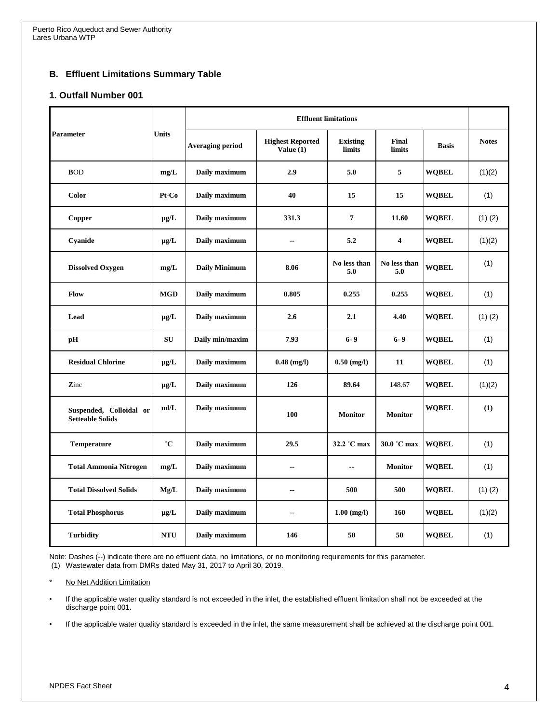## **B. Effluent Limitations Summary Table**

### **1. Outfall Number 001**

| <b>Parameter</b>                                   | <b>Units</b> | <b>Effluent limitations</b> |                                        |                           |                         |              |              |
|----------------------------------------------------|--------------|-----------------------------|----------------------------------------|---------------------------|-------------------------|--------------|--------------|
|                                                    |              | <b>Averaging period</b>     | <b>Highest Reported</b><br>Value $(1)$ | <b>Existing</b><br>limits | Final<br><b>limits</b>  | <b>Basis</b> | <b>Notes</b> |
| <b>BOD</b>                                         | mg/L         | Daily maximum               | 2.9                                    | 5.0                       | 5                       | <b>WOBEL</b> | (1)(2)       |
| <b>Color</b>                                       | Pt-Co        | Daily maximum               | 40                                     | 15                        | 15                      | <b>WQBEL</b> | (1)          |
| Copper                                             | $\mu$ g/L    | Daily maximum               | 331.3                                  | $\overline{7}$            | 11.60                   | <b>WOBEL</b> | $(1)$ $(2)$  |
| Cyanide                                            | $\mu$ g/L    | Daily maximum               | --                                     | 5.2                       | $\overline{\mathbf{4}}$ | <b>WOBEL</b> | (1)(2)       |
| <b>Dissolved Oxygen</b>                            | mg/L         | <b>Daily Minimum</b>        | 8.06                                   | No less than<br>5.0       | No less than<br>5.0     | <b>WOBEL</b> | (1)          |
| Flow                                               | <b>MGD</b>   | Daily maximum               | 0.805                                  | 0.255                     | 0.255                   | <b>WQBEL</b> | (1)          |
| Lead                                               | $\mu$ g/L    | Daily maximum               | 2.6                                    | 2.1                       | 4.40                    | <b>WOBEL</b> | $(1)$ $(2)$  |
| pH                                                 | SU           | Daily min/maxim             | 7.93                                   | $6 - 9$                   | $6 - 9$                 | <b>WOBEL</b> | (1)          |
| <b>Residual Chlorine</b>                           | $\mu$ g/L    | Daily maximum               | $0.48$ (mg/l)                          | $0.50$ (mg/l)             | 11                      | <b>WQBEL</b> | (1)          |
| Zinc                                               | $\mu$ g/L    | Daily maximum               | 126                                    | 89.64                     | 148.67                  | <b>WOBEL</b> | (1)(2)       |
| Suspended, Colloidal or<br><b>Setteable Solids</b> | mI/L         | Daily maximum               | 100                                    | <b>Monitor</b>            | <b>Monitor</b>          | <b>WQBEL</b> | (1)          |
| Temperature                                        | $^{\circ}C$  | Daily maximum               | 29.5                                   | 32.2 °C max               | 30.0 °C max             | <b>WQBEL</b> | (1)          |
| <b>Total Ammonia Nitrogen</b>                      | mg/L         | Daily maximum               | $\overline{\phantom{a}}$               | $\overline{a}$            | <b>Monitor</b>          | <b>WQBEL</b> | (1)          |
| <b>Total Dissolved Solids</b>                      | Mg/L         | Daily maximum               | $\overline{\phantom{a}}$               | 500                       | 500                     | <b>WOBEL</b> | $(1)$ $(2)$  |
| <b>Total Phosphorus</b>                            | $\mu$ g/L    | Daily maximum               | $\overline{\phantom{a}}$               | $1.00$ (mg/l)             | 160                     | <b>WOBEL</b> | (1)(2)       |
| <b>Turbidity</b>                                   | <b>NTU</b>   | Daily maximum               | 146                                    | 50                        | 50                      | <b>WQBEL</b> | (1)          |

Note: Dashes (--) indicate there are no effluent data, no limitations, or no monitoring requirements for this parameter. (1) Wastewater data from DMRs dated May 31, 2017 to April 30, 2019.

No Net Addition Limitation

- If the applicable water quality standard is not exceeded in the inlet, the established effluent limitation shall not be exceeded at the discharge point 001.
- If the applicable water quality standard is exceeded in the inlet, the same measurement shall be achieved at the discharge point 001.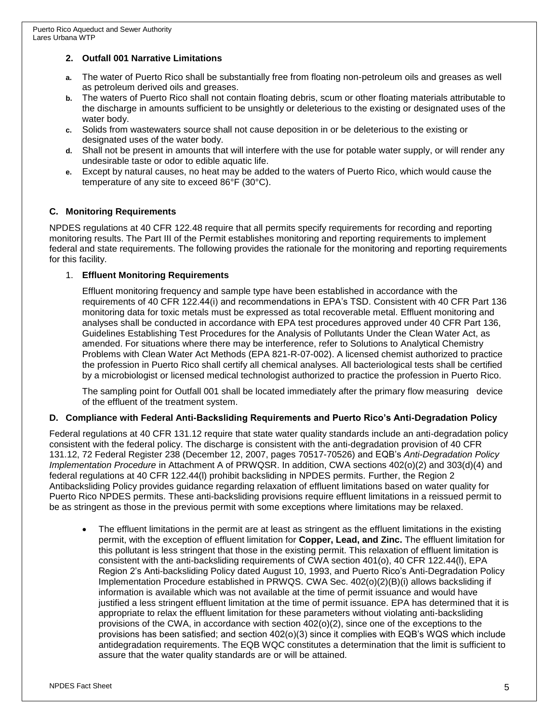## **2. Outfall 001 Narrative Limitations**

- **a.** The water of Puerto Rico shall be substantially free from floating non-petroleum oils and greases as well as petroleum derived oils and greases.
- **b.** The waters of Puerto Rico shall not contain floating debris, scum or other floating materials attributable to the discharge in amounts sufficient to be unsightly or deleterious to the existing or designated uses of the water body.
- **c.** Solids from wastewaters source shall not cause deposition in or be deleterious to the existing or designated uses of the water body.
- **d.** Shall not be present in amounts that will interfere with the use for potable water supply, or will render any undesirable taste or odor to edible aquatic life.
- **e.** Except by natural causes, no heat may be added to the waters of Puerto Rico, which would cause the temperature of any site to exceed 86°F (30°C).

## **C. Monitoring Requirements**

NPDES regulations at 40 CFR 122.48 require that all permits specify requirements for recording and reporting monitoring results. The Part III of the Permit establishes monitoring and reporting requirements to implement federal and state requirements. The following provides the rationale for the monitoring and reporting requirements for this facility.

### 1. **Effluent Monitoring Requirements**

Effluent monitoring frequency and sample type have been established in accordance with the requirements of 40 CFR 122.44(i) and recommendations in EPA's TSD. Consistent with 40 CFR Part 136 monitoring data for toxic metals must be expressed as total recoverable metal. Effluent monitoring and analyses shall be conducted in accordance with EPA test procedures approved under 40 CFR Part 136, Guidelines Establishing Test Procedures for the Analysis of Pollutants Under the Clean Water Act, as amended. For situations where there may be interference, refer to Solutions to Analytical Chemistry Problems with Clean Water Act Methods (EPA 821-R-07-002). A licensed chemist authorized to practice the profession in Puerto Rico shall certify all chemical analyses. All bacteriological tests shall be certified by a microbiologist or licensed medical technologist authorized to practice the profession in Puerto Rico.

The sampling point for Outfall 001 shall be located immediately after the primary flow measuring device of the effluent of the treatment system.

### **D. Compliance with Federal Anti-Backsliding Requirements and Puerto Rico's Anti-Degradation Policy**

Federal regulations at 40 CFR 131.12 require that state water quality standards include an anti-degradation policy consistent with the federal policy. The discharge is consistent with the anti-degradation provision of 40 CFR 131.12, 72 Federal Register 238 (December 12, 2007, pages 70517-70526) and EQB's *Anti-Degradation Policy Implementation Procedure* in Attachment A of PRWQSR. In addition, CWA sections 402(o)(2) and 303(d)(4) and federal regulations at 40 CFR 122.44(l) prohibit backsliding in NPDES permits. Further, the Region 2 Antibacksliding Policy provides guidance regarding relaxation of effluent limitations based on water quality for Puerto Rico NPDES permits. These anti-backsliding provisions require effluent limitations in a reissued permit to be as stringent as those in the previous permit with some exceptions where limitations may be relaxed.

• The effluent limitations in the permit are at least as stringent as the effluent limitations in the existing permit, with the exception of effluent limitation for **Copper, Lead, and Zinc.** The effluent limitation for this pollutant is less stringent that those in the existing permit. This relaxation of effluent limitation is consistent with the anti-backsliding requirements of CWA section 401(o), 40 CFR 122.44(l), EPA Region 2's Anti-backsliding Policy dated August 10, 1993, and Puerto Rico's Anti-Degradation Policy Implementation Procedure established in PRWQS. CWA Sec. 402(o)(2)(B)(i) allows backsliding if information is available which was not available at the time of permit issuance and would have justified a less stringent effluent limitation at the time of permit issuance. EPA has determined that it is appropriate to relax the effluent limitation for these parameters without violating anti-backsliding provisions of the CWA, in accordance with section 402(o)(2), since one of the exceptions to the provisions has been satisfied; and section 402(o)(3) since it complies with EQB's WQS which include antidegradation requirements. The EQB WQC constitutes a determination that the limit is sufficient to assure that the water quality standards are or will be attained.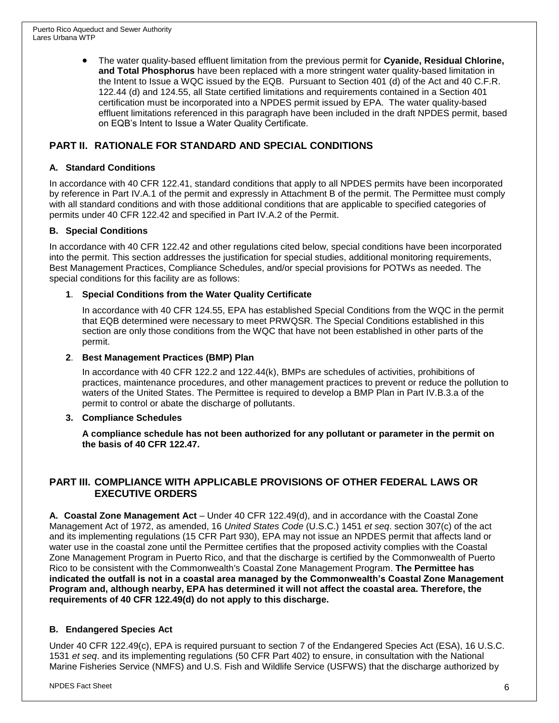• The water quality-based effluent limitation from the previous permit for **Cyanide, Residual Chlorine, and Total Phosphorus** have been replaced with a more stringent water quality-based limitation in the Intent to Issue a WQC issued by the EQB. Pursuant to Section 401 (d) of the Act and 40 C.F.R. 122.44 (d) and 124.55, all State certified limitations and requirements contained in a Section 401 certification must be incorporated into a NPDES permit issued by EPA. The water quality-based effluent limitations referenced in this paragraph have been included in the draft NPDES permit, based on EQB's Intent to Issue a Water Quality Certificate.

## **PART II. RATIONALE FOR STANDARD AND SPECIAL CONDITIONS**

## **A. Standard Conditions**

In accordance with 40 CFR 122.41, standard conditions that apply to all NPDES permits have been incorporated by reference in Part IV.A.1 of the permit and expressly in Attachment B of the permit. The Permittee must comply with all standard conditions and with those additional conditions that are applicable to specified categories of permits under 40 CFR 122.42 and specified in Part IV.A.2 of the Permit.

## **B. Special Conditions**

In accordance with 40 CFR 122.42 and other regulations cited below, special conditions have been incorporated into the permit. This section addresses the justification for special studies, additional monitoring requirements, Best Management Practices, Compliance Schedules, and/or special provisions for POTWs as needed. The special conditions for this facility are as follows:

## **1**. **Special Conditions from the Water Quality Certificate**

In accordance with 40 CFR 124.55, EPA has established Special Conditions from the WQC in the permit that EQB determined were necessary to meet PRWQSR. The Special Conditions established in this section are only those conditions from the WQC that have not been established in other parts of the permit.

### **2**. **Best Management Practices (BMP) Plan**

In accordance with 40 CFR 122.2 and 122.44(k), BMPs are schedules of activities, prohibitions of practices, maintenance procedures, and other management practices to prevent or reduce the pollution to waters of the United States. The Permittee is required to develop a BMP Plan in Part IV.B.3.a of the permit to control or abate the discharge of pollutants.

### **3. Compliance Schedules**

**A compliance schedule has not been authorized for any pollutant or parameter in the permit on the basis of 40 CFR 122.47.**

## **PART III. COMPLIANCE WITH APPLICABLE PROVISIONS OF OTHER FEDERAL LAWS OR EXECUTIVE ORDERS**

**A. Coastal Zone Management Act** – Under 40 CFR 122.49(d), and in accordance with the Coastal Zone Management Act of 1972, as amended, 16 *United States Code* (U.S.C.) 1451 *et seq*. section 307(c) of the act and its implementing regulations (15 CFR Part 930), EPA may not issue an NPDES permit that affects land or water use in the coastal zone until the Permittee certifies that the proposed activity complies with the Coastal Zone Management Program in Puerto Rico, and that the discharge is certified by the Commonwealth of Puerto Rico to be consistent with the Commonwealth's Coastal Zone Management Program. **The Permittee has indicated the outfall is not in a coastal area managed by the Commonwealth's Coastal Zone Management Program and, although nearby, EPA has determined it will not affect the coastal area. Therefore, the requirements of 40 CFR 122.49(d) do not apply to this discharge.**

## **B. Endangered Species Act**

Under 40 CFR 122.49(c), EPA is required pursuant to section 7 of the Endangered Species Act (ESA), 16 U.S.C. 1531 *et seq*. and its implementing regulations (50 CFR Part 402) to ensure, in consultation with the National Marine Fisheries Service (NMFS) and U.S. Fish and Wildlife Service (USFWS) that the discharge authorized by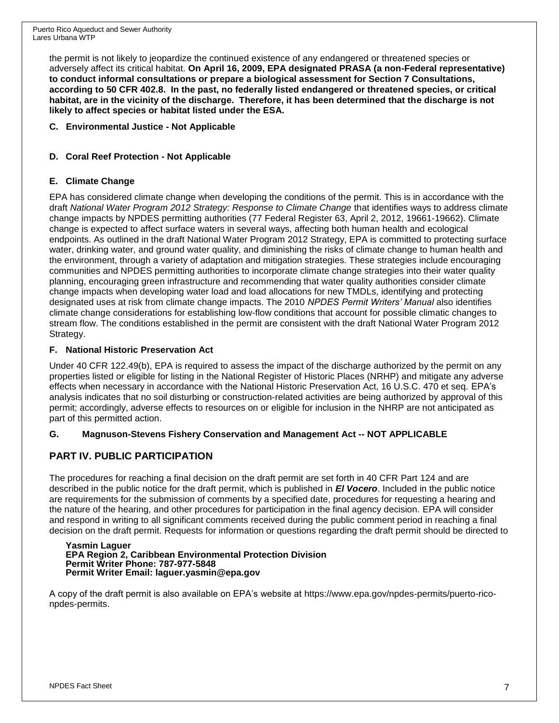the permit is not likely to jeopardize the continued existence of any endangered or threatened species or adversely affect its critical habitat. **On April 16, 2009, EPA designated PRASA (a non-Federal representative) to conduct informal consultations or prepare a biological assessment for Section 7 Consultations, according to 50 CFR 402.8. In the past, no federally listed endangered or threatened species, or critical habitat, are in the vicinity of the discharge. Therefore, it has been determined that the discharge is not likely to affect species or habitat listed under the ESA.**

**C. Environmental Justice - Not Applicable**

## **D. Coral Reef Protection - Not Applicable**

## **E. Climate Change**

EPA has considered climate change when developing the conditions of the permit. This is in accordance with the draft *National Water Program 2012 Strategy: Response to Climate Change* that identifies ways to address climate change impacts by NPDES permitting authorities (77 Federal Register 63, April 2, 2012, 19661-19662). Climate change is expected to affect surface waters in several ways, affecting both human health and ecological endpoints. As outlined in the draft National Water Program 2012 Strategy, EPA is committed to protecting surface water, drinking water, and ground water quality, and diminishing the risks of climate change to human health and the environment, through a variety of adaptation and mitigation strategies. These strategies include encouraging communities and NPDES permitting authorities to incorporate climate change strategies into their water quality planning, encouraging green infrastructure and recommending that water quality authorities consider climate change impacts when developing water load and load allocations for new TMDLs, identifying and protecting designated uses at risk from climate change impacts. The 2010 *NPDES Permit Writers' Manual* also identifies climate change considerations for establishing low-flow conditions that account for possible climatic changes to stream flow. The conditions established in the permit are consistent with the draft National Water Program 2012 Strategy.

### **F. National Historic Preservation Act**

Under 40 CFR 122.49(b), EPA is required to assess the impact of the discharge authorized by the permit on any properties listed or eligible for listing in the National Register of Historic Places (NRHP) and mitigate any adverse effects when necessary in accordance with the National Historic Preservation Act, 16 U.S.C. 470 et seq. EPA's analysis indicates that no soil disturbing or construction-related activities are being authorized by approval of this permit; accordingly, adverse effects to resources on or eligible for inclusion in the NHRP are not anticipated as part of this permitted action.

## **G. Magnuson-Stevens Fishery Conservation and Management Act -- NOT APPLICABLE**

## **PART IV. PUBLIC PARTICIPATION**

The procedures for reaching a final decision on the draft permit are set forth in 40 CFR Part 124 and are described in the public notice for the draft permit, which is published in *El Vocero*. Included in the public notice are requirements for the submission of comments by a specified date, procedures for requesting a hearing and the nature of the hearing, and other procedures for participation in the final agency decision. EPA will consider and respond in writing to all significant comments received during the public comment period in reaching a final decision on the draft permit. Requests for information or questions regarding the draft permit should be directed to

#### **Yasmin Laguer EPA Region 2, Caribbean Environmental Protection Division Permit Writer Phone: 787-977-5848 Permit Writer Email: laguer.yasmin@epa.gov**

A copy of the draft permit is also available on EPA's website at https://www.epa.gov/npdes-permits/puerto-riconpdes-permits.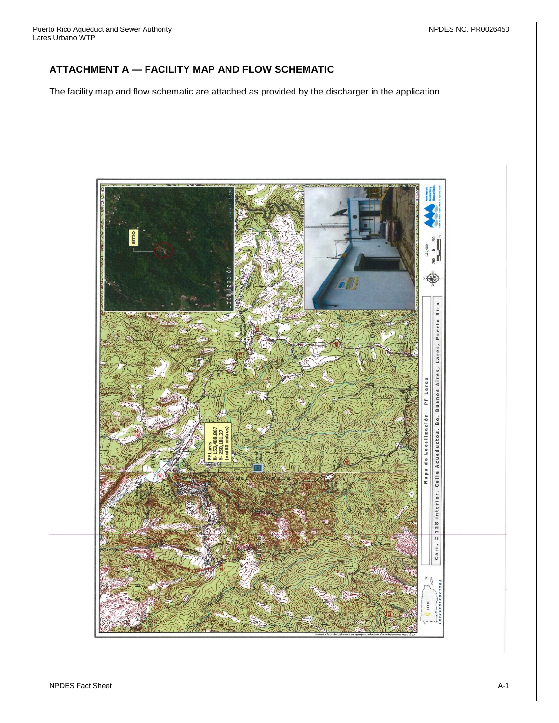## **ATTACHMENT A — FACILITY MAP AND FLOW SCHEMATIC**

The facility map and flow schematic are attached as provided by the discharger in the application.